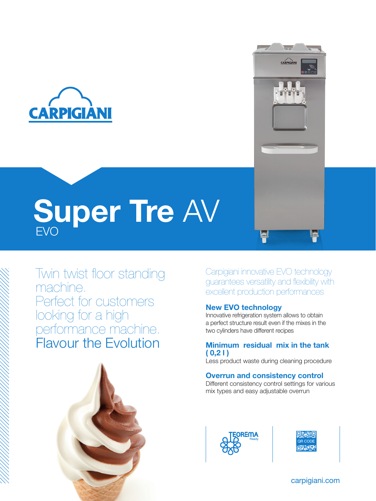

# EVO Super Tre AV

Twin twist floor standing machine. Perfect for customers looking for a high performance machine. Flavour the Evolution



Carpigiani innovative EVO technology guarantees versatility and flexibility with excellent production performances

 $\overline{\mathbf{r}}$ 

CARPIGIAN

#### New EVO technology

Innovative refrigeration system allows to obtain a perfect structure result even if the mixes in the two cylinders have different recipes

#### Minimum residual mix in the tank  $(0.21)$

Less product waste during cleaning procedure

#### Overrun and consistency control

Different consistency control settings for various mix types and easy adjustable overrun





carpigiani.com